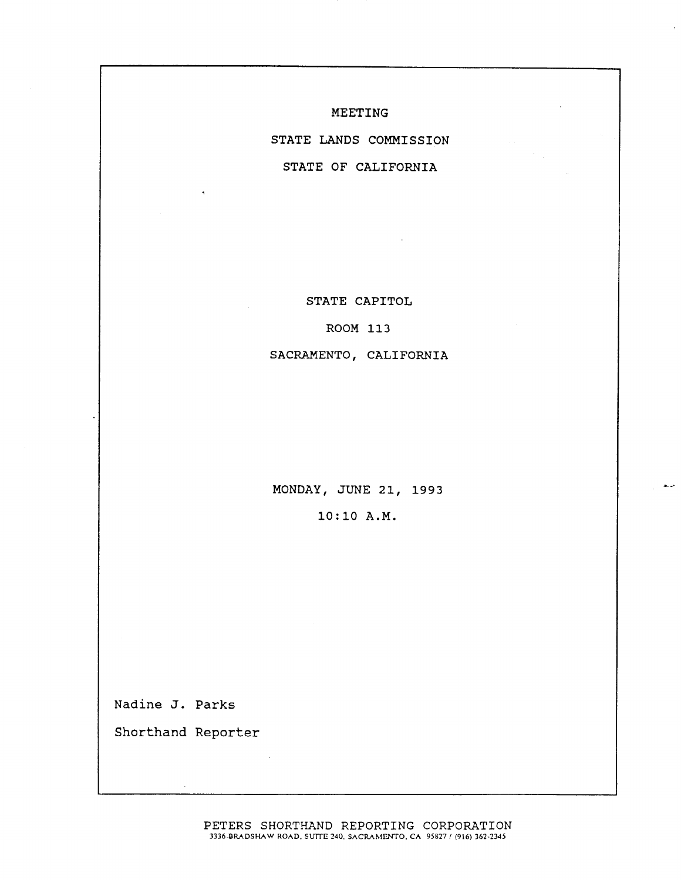MEETING

STATE LANDS COMMISSION

STATE OF CALIFORNIA

STATE CAPITOL

ROOM 113

SACRAMENTO, CALIFORNIA

MONDAY, JUNE 21, 1993 10:10 A. M.

 $\bullet$ 

Nadine J. Parks

Shorthand Reporter

PETERS SHORTHAND REPORTING CORPORATION 3336 BRADSHAW ROAD. SUITE 240, SACRAMENTO, CA 95827 / (916) 362-2345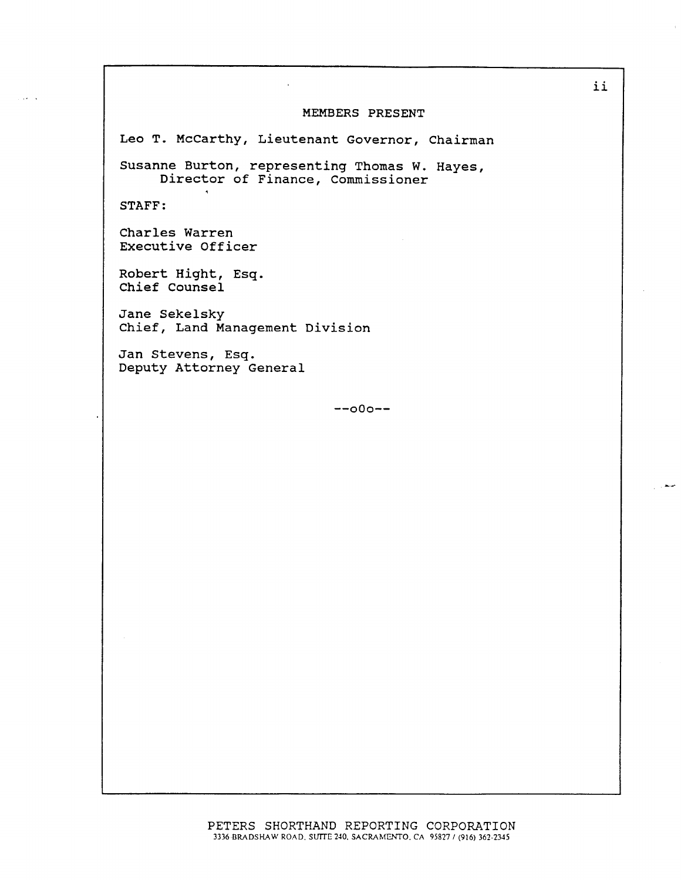## MEMBERS PRESENT

Leo T. Mccarthy, Lieutenant Governor, Chairman

Susanne Burton, representing Thomas W. Hayes, Director of Finance, Commissioner

STAFF :

Charles Warren Executive Officer

Robert Hight, Esq. Chief Counsel

Jane Sekelsky Chief, Land Management Division

Jan Stevens, Esq. Deputy Attorney General

 $--000--$ 

حبيط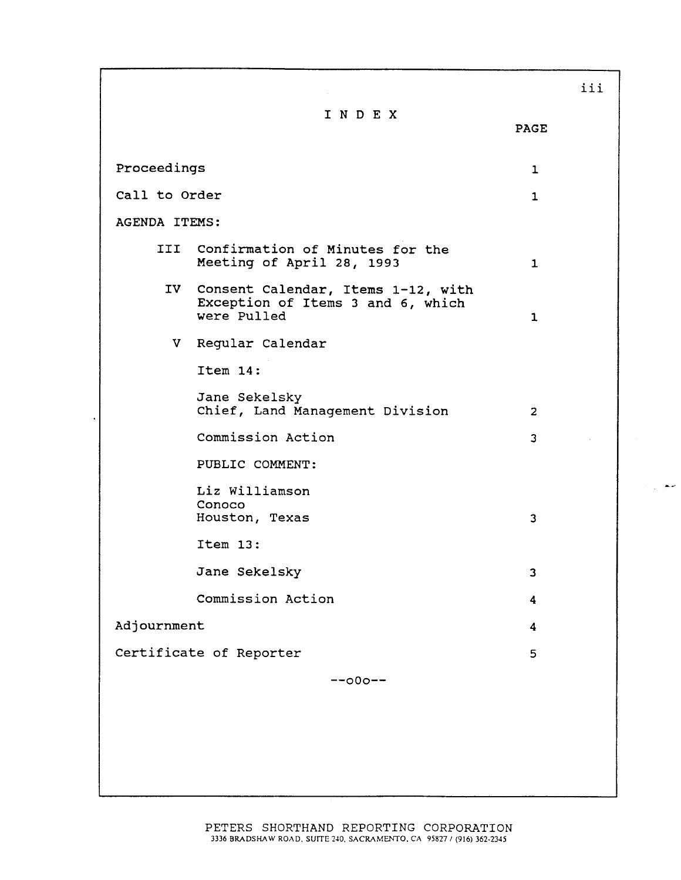|                         |                                                                                           |                | iii |
|-------------------------|-------------------------------------------------------------------------------------------|----------------|-----|
|                         | INDEX                                                                                     | <b>PAGE</b>    |     |
| Proceedings             |                                                                                           | 1              |     |
| Call to Order           |                                                                                           | 1              |     |
| <b>AGENDA ITEMS:</b>    |                                                                                           |                |     |
|                         | III Confirmation of Minutes for the<br>Meeting of April 28, 1993                          | $\mathbf{1}$   |     |
|                         | IV Consent Calendar, Items 1-12, with<br>Exception of Items 3 and 6, which<br>were Pulled | $\mathbf{1}$   |     |
|                         | V Regular Calendar                                                                        |                |     |
|                         | Item 14:                                                                                  |                |     |
|                         | Jane Sekelsky<br>Chief, Land Management Division                                          | $\overline{2}$ |     |
|                         | Commission Action                                                                         | 3              |     |
|                         | PUBLIC COMMENT:                                                                           |                |     |
|                         | Liz Williamson<br>Conoco<br>Houston, Texas                                                | 3              |     |
|                         | Item 13:                                                                                  |                |     |
|                         | Jane Sekelsky                                                                             | 3              |     |
|                         | Commission Action                                                                         | 4              |     |
| Adjournment             |                                                                                           | 4              |     |
| Certificate of Reporter |                                                                                           | 5              |     |
| $--000--$               |                                                                                           |                |     |
|                         |                                                                                           |                |     |
|                         |                                                                                           |                |     |
|                         |                                                                                           |                |     |
|                         |                                                                                           |                |     |

 $\mathbb{R}$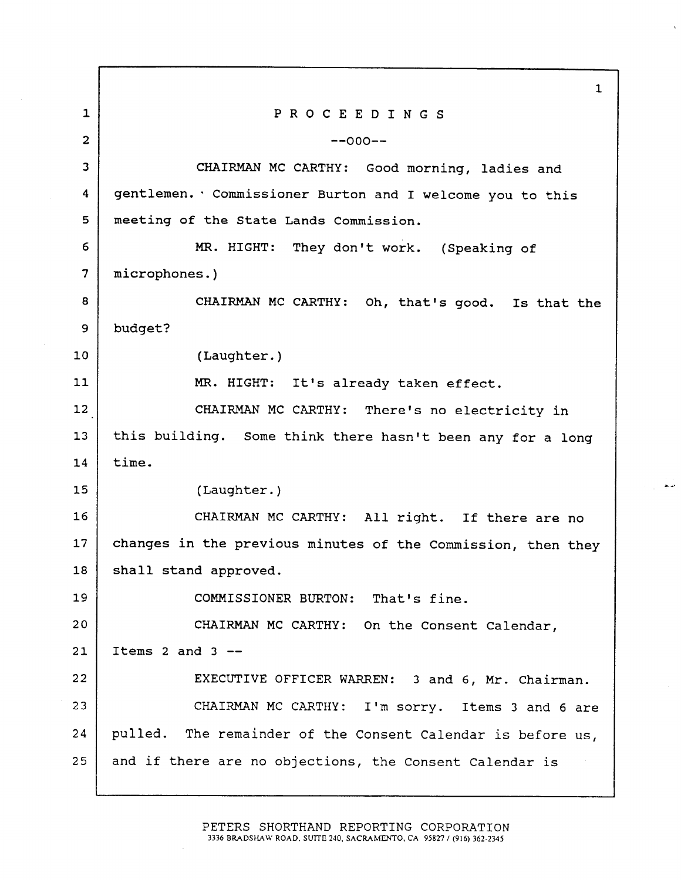$\mathbf{1}$  $\mathbf{1}$ PROCEEDINGS 2  $-0$ 3 | CHAIRMAN MC CARTHY: Good morning, ladies and gentlemen. ' Commissioner Burton and I welcome you to this 4 5 | meeting of the State Lands Commission. 6 MR. HIGHT: They don't work. (Speaking of 7 microphones. ) 8 CHAIRMAN MC CARTHY: Oh, that's good. Is that the 9 budget? 10 (Laughter.) 11 | MR. HIGHT: It's already taken effect. 12 CHAIRMAN MC CARTHY: There's no electricity in 13 this building. Some think there hasn't been any for a long 14 time. 15 (Laughter.) 16 CHAIRMAN MC CARTHY: All right. If there are no 17 | changes in the previous minutes of the Commission, then they 18 | shall stand approved. 19 | COMMISSIONER BURTON: That's fine. 20 | CHAIRMAN MC CARTHY: On the Consent Calendar,  $21$  Items 2 and 3 --22 | EXECUTIVE OFFICER WARREN: 3 and 6, Mr. Chairman. 23 | CHAIRMAN MC CARTHY: I'm sorry. Items 3 and 6 are 24 pulled. The remainder of the Consent Calendar is before us, 25 and if there are no objections, the Consent Calendar is

> PETERS SHORTHAND REPORTING CORPORATION 3336 BRADSHAW ROAD, SUITE 240. SACRAMENTO, CA 95827 / (916) 362-2345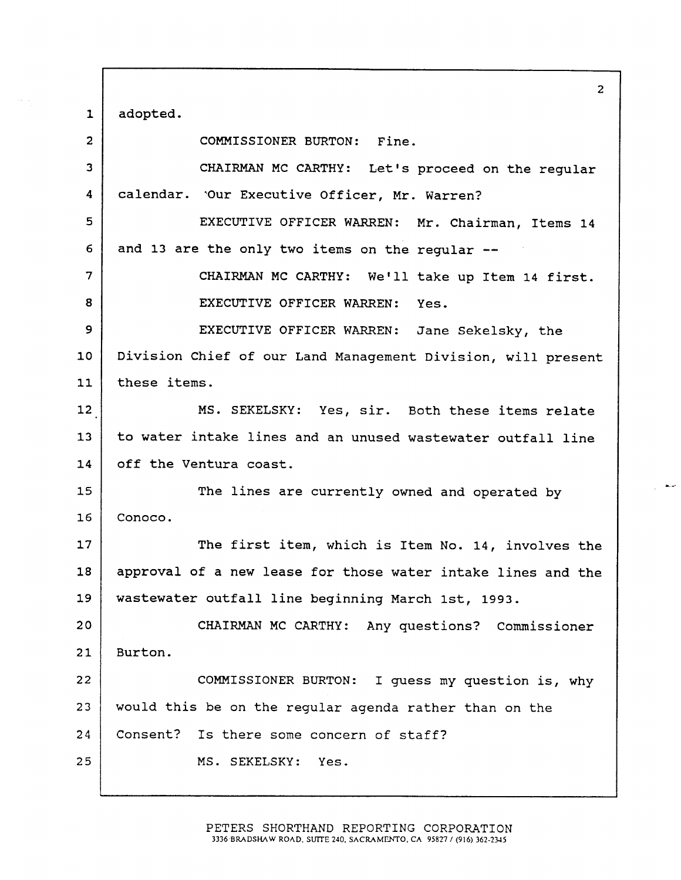$1 |$  adopted.

 $\hat{\phi}_{\rm{max}}$ 

| $\overline{c}$ | COMMISSIONER BURTON: Fine.                                   |
|----------------|--------------------------------------------------------------|
| 3              | CHAIRMAN MC CARTHY: Let's proceed on the regular             |
| 4              | calendar. 'Our Executive Officer, Mr. Warren?                |
| 5              | EXECUTIVE OFFICER WARREN: Mr. Chairman, Items 14             |
| 6              | and 13 are the only two items on the regular --              |
| 7              | CHAIRMAN MC CARTHY: We'll take up Item 14 first.             |
| 8              | EXECUTIVE OFFICER WARREN: Yes.                               |
| 9              | EXECUTIVE OFFICER WARREN: Jane Sekelsky, the                 |
| 10             | Division Chief of our Land Management Division, will present |
| 11             | these items.                                                 |
| 12             | MS. SEKELSKY: Yes, sir. Both these items relate              |
| 13             | to water intake lines and an unused wastewater outfall line  |
| 14             | off the Ventura coast.                                       |
| 15             | The lines are currently owned and operated by                |
| 16             | Conoco.                                                      |
| 17             | The first item, which is Item No. 14, involves the           |
| 18             | approval of a new lease for those water intake lines and the |
| 19             | wastewater outfall line beginning March 1st, 1993.           |
| 20             | CHAIRMAN MC CARTHY: Any questions? Commissioner              |
| 21             | Burton.                                                      |
| 22             | COMMISSIONER BURTON: I guess my question is, why             |
| 23             | would this be on the regular agenda rather than on the       |
| 24             | Consent? Is there some concern of staff?                     |
| 25             | MS. SEKELSKY: Yes.                                           |
|                |                                                              |

التبعي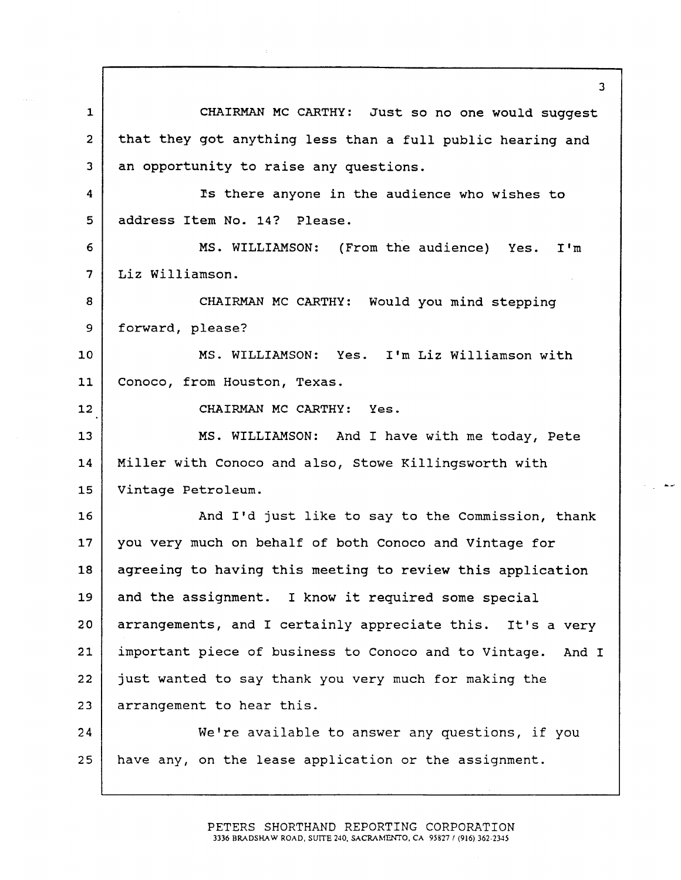$\mathbf{1}$ CHAIRMAN MC CARTHY: Just so no one would suggest 2 | that they got anything less than a full public hearing and 3 an opportunity to raise any questions. 4 **Is there anyone in the audience who wishes to** 5 address Item No. 14? Please. 6 MS. WILLIAMSON: (From the audience) Yes.  $T^{\dagger}$ m  $\overline{7}$ Liz Williamson. 8 CHAIRMAN MC CARTHY: Would you mind stepping 9 | forward, please? 10 MS. WILLIAMSON: Yes. I'm Liz Williamson with 11 | Conoco, from Houston, Texas. 12 CHAIRMAN MC CARTHY: Yes. 13 MS. WILLIAMSON: And I have with me today, Pete 14 | Miller with Conoco and also, Stowe Killingsworth with 15 Vintage Petroleum. 16 | And I'd just like to say to the Commission, thank 17 | you very much on behalf of both Conoco and Vintage for 18 agreeing to having this meeting to review this application 19 and the assignment. I know it required some special  $20$  arrangements, and I certainly appreciate this. It's a very 21 | important piece of business to Conoco and to Vintage. And I 22 just wanted to say thank you very much for making the 23 arrangement to hear this. 24 We're available to answer any questions, if you 25 have any, on the lease application or the assignment.

> PETERS SHORTHAND REPORTING CORPORATION 3336 BRADSHAW ROAD, SUITE 240, SACRAMENTO, CA 95827 / (916) 362-2345

 $\overline{3}$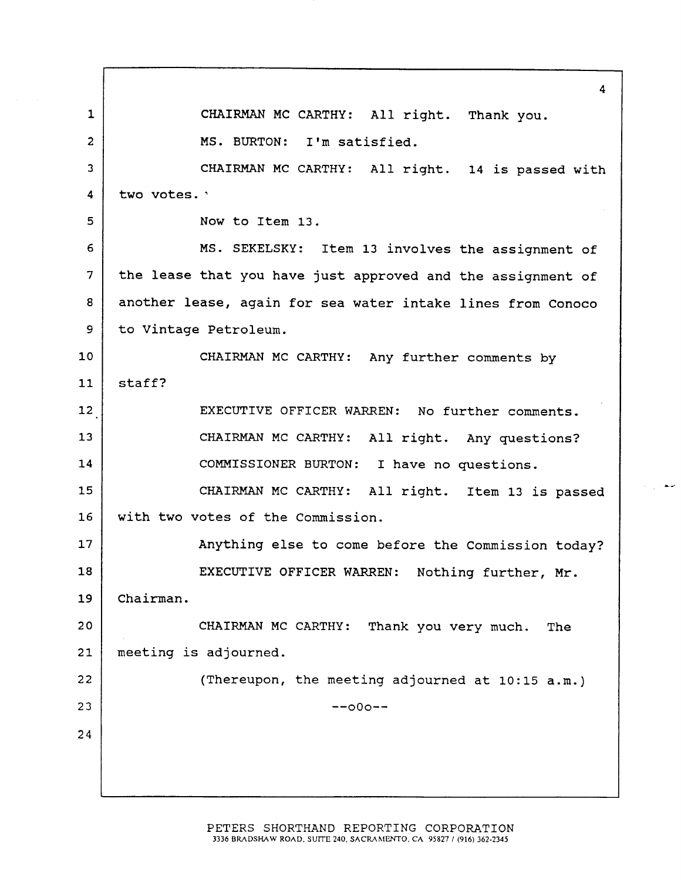4  $\mathbf{1}$ CHAIRMAN MC CARTHY: All right. Thank you. 2 | MS. BURTON: I'm satisfied. 3 | CHAIRMAN MC CARTHY: All right. 14 is passed with  $\overline{\mathbf{4}}$ two votes. ' 5 Now to Item 13. MS. SEKELSKY: Item 13 involves the assignment of 6  $\overline{7}$ the lease that you have just approved and the assignment of 8 | another lease, again for sea water intake lines from Conoco 9 to Vintage Petroleum. 10 CHAIRMAN MC CARTHY: Any further comments by  $11$  staff? 12 | EXECUTIVE OFFICER WARREN: No further comments. 13 CHAIRMAN MC CARTHY: All right. Any questions? 14 | COMMISSIONER BURTON: I have no questions. 15 CHAIRMAN MC CARTHY: All right. Item 13 is passed 16 | with two votes of the Commission. 17 | Anything else to come before the Commission today? 18 | EXECUTIVE OFFICER WARREN: Nothing further, Mr. 19 Chairman. 20 CHAIRMAN MC CARTHY: Thank you very much. The 21 meeting is adjourned. 22 | Chereupon, the meeting adjourned at 10:15 a.m.)  $23$   $-00$ 24